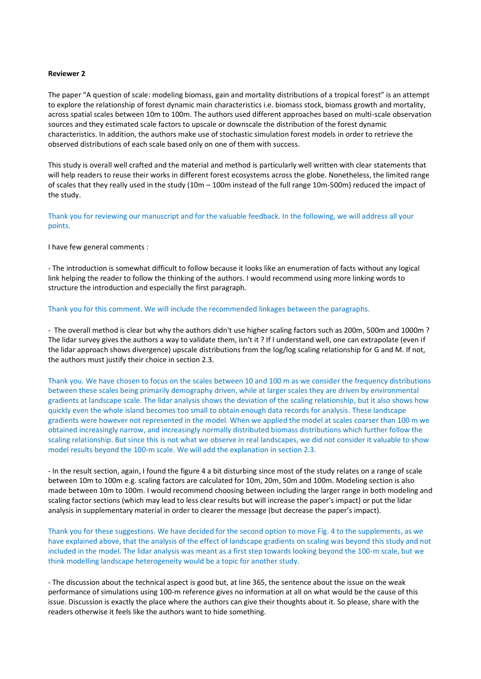## **Reviewer 2**

The paper "A question of scale: modeling biomass, gain and mortality distributions of a tropical forest" is an attempt to explore the relationship of forest dynamic main characteristics i.e. biomass stock, biomass growth and mortality, across spatial scales between 10m to 100m. The authors used different approaches based on multi-scale observation sources and they estimated scale factors to upscale or downscale the distribution of the forest dynamic characteristics. In addition, the authors make use of stochastic simulation forest models in order to retrieve the observed distributions of each scale based only on one of them with success.

This study is overall well crafted and the material and method is particularly well written with clear statements that will help readers to reuse their works in different forest ecosystems across the globe. Nonetheless, the limited range of scales that they really used in the study (10m – 100m instead of the full range 10m-500m) reduced the impact of the study.

Thank you for reviewing our manuscript and for the valuable feedback. In the following, we will address all your points.

I have few general comments :

- The introduction is somewhat difficult to follow because it looks like an enumeration of facts without any logical link helping the reader to follow the thinking of the authors. I would recommend using more linking words to structure the introduction and especially the first paragraph.

## Thank you for this comment. We will include the recommended linkages between the paragraphs.

- The overall method is clear but why the authors didn't use higher scaling factors such as 200m, 500m and 1000m ? The lidar survey gives the authors a way to validate them, isn't it ? If I understand well, one can extrapolate (even if the lidar approach shows divergence) upscale distributions from the log/log scaling relationship for G and M. If not, the authors must justify their choice in section 2.3.

Thank you. We have chosen to focus on the scales between 10 and 100 m as we consider the frequency distributions between these scales being primarily demography driven, while at larger scales they are driven by environmental gradients at landscape scale. The lidar analysis shows the deviation of the scaling relationship, but it also shows how quickly even the whole island becomes too small to obtain enough data records for analysis. These landscape gradients were however not represented in the model. When we applied the model at scales coarser than 100 m we obtained increasingly narrow, and increasingly normally distributed biomass distributions which further follow the scaling relationship. But since this is not what we observe in real landscapes, we did not consider it valuable to show model results beyond the 100-m scale. We will add the explanation in section 2.3.

- In the result section, again, I found the figure 4 a bit disturbing since most of the study relates on a range of scale between 10m to 100m e.g. scaling factors are calculated for 10m, 20m, 50m and 100m. Modeling section is also made between 10m to 100m. I would recommend choosing between including the larger range in both modeling and scaling factor sections (which may lead to less clear results but will increase the paper's impact) or put the lidar analysis in supplementary material in order to clearer the message (but decrease the paper's impact).

Thank you for these suggestions. We have decided for the second option to move Fig. 4 to the supplements, as we have explained above, that the analysis of the effect of landscape gradients on scaling was beyond this study and not included in the model. The lidar analysis was meant as a first step towards looking beyond the 100-m scale, but we think modelling landscape heterogeneity would be a topic for another study.

- The discussion about the technical aspect is good but, at line 365, the sentence about the issue on the weak performance of simulations using 100-m reference gives no information at all on what would be the cause of this issue. Discussion is exactly the place where the authors can give their thoughts about it. So please, share with the readers otherwise it feels like the authors want to hide something.